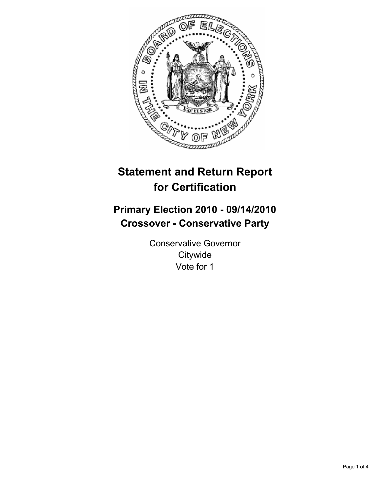

# **Statement and Return Report for Certification**

## **Primary Election 2010 - 09/14/2010 Crossover - Conservative Party**

Conservative Governor **Citywide** Vote for 1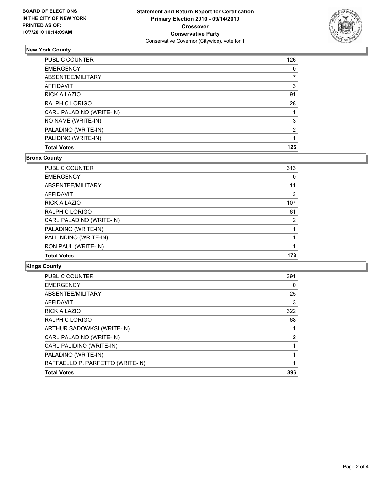

## **New York County**

| <b>PUBLIC COUNTER</b>    | 126 |
|--------------------------|-----|
| <b>EMERGENCY</b>         | 0   |
| ABSENTEE/MILITARY        |     |
| AFFIDAVIT                | 3   |
| <b>RICK A LAZIO</b>      | 91  |
| RALPH C LORIGO           | 28  |
| CARL PALADINO (WRITE-IN) |     |
| NO NAME (WRITE-IN)       | 3   |
| PALADINO (WRITE-IN)      | 2   |
| PALIDINO (WRITE-IN)      |     |
| <b>Total Votes</b>       | 126 |

#### **Bronx County**

| <b>PUBLIC COUNTER</b>    | 313 |
|--------------------------|-----|
| <b>EMERGENCY</b>         | 0   |
| ABSENTEE/MILITARY        | 11  |
| AFFIDAVIT                | 3   |
| <b>RICK A LAZIO</b>      | 107 |
| RALPH C LORIGO           | 61  |
| CARL PALADINO (WRITE-IN) | 2   |
| PALADINO (WRITE-IN)      |     |
| PALLINDINO (WRITE-IN)    |     |
| RON PAUL (WRITE-IN)      |     |
| <b>Total Votes</b>       | 173 |

### **Kings County**

| <b>PUBLIC COUNTER</b>            | 391 |
|----------------------------------|-----|
| <b>EMERGENCY</b>                 | 0   |
| ABSENTEE/MILITARY                | 25  |
| <b>AFFIDAVIT</b>                 | 3   |
| <b>RICK A LAZIO</b>              | 322 |
| <b>RALPH C LORIGO</b>            | 68  |
| ARTHUR SADOWKSI (WRITE-IN)       | 1   |
| CARL PALADINO (WRITE-IN)         | 2   |
| CARL PALIDINO (WRITE-IN)         |     |
| PALADINO (WRITE-IN)              |     |
| RAFFAELLO P. PARFETTO (WRITE-IN) |     |
| <b>Total Votes</b>               | 396 |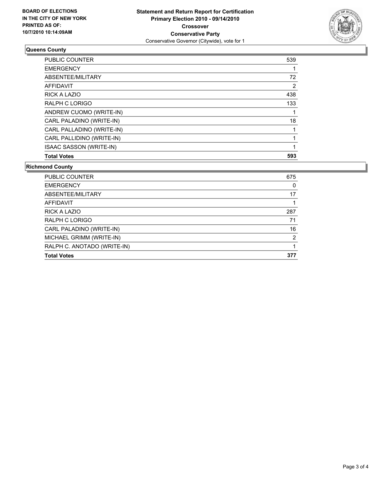

## **Queens County**

| <b>Total Votes</b>        | 593 |
|---------------------------|-----|
| ISAAC SASSON (WRITE-IN)   |     |
| CARL PALLIDINO (WRITE-IN) |     |
| CARL PALLADINO (WRITE-IN) |     |
| CARL PALADINO (WRITE-IN)  | 18  |
| ANDREW CUOMO (WRITE-IN)   |     |
| RALPH C LORIGO            | 133 |
| <b>RICK A LAZIO</b>       | 438 |
| AFFIDAVIT                 | 2   |
| ABSENTEE/MILITARY         | 72  |
| <b>EMERGENCY</b>          |     |
| <b>PUBLIC COUNTER</b>     | 539 |

#### **Richmond County**

| PUBLIC COUNTER              | 675 |
|-----------------------------|-----|
| <b>EMERGENCY</b>            | 0   |
| ABSENTEE/MILITARY           | 17  |
| <b>AFFIDAVIT</b>            |     |
| <b>RICK A LAZIO</b>         | 287 |
| RALPH C LORIGO              | 71  |
| CARL PALADINO (WRITE-IN)    | 16  |
| MICHAEL GRIMM (WRITE-IN)    | 2   |
| RALPH C. ANOTADO (WRITE-IN) |     |
| <b>Total Votes</b>          | 377 |